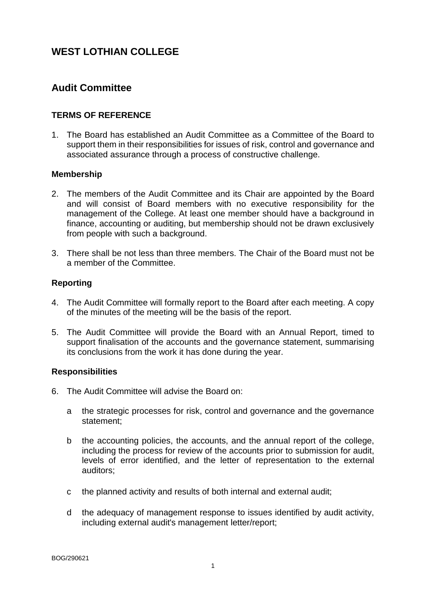## **Audit Committee**

## **TERMS OF REFERENCE**

1. The Board has established an Audit Committee as a Committee of the Board to support them in their responsibilities for issues of risk, control and governance and associated assurance through a process of constructive challenge.

### **Membership**

- 2. The members of the Audit Committee and its Chair are appointed by the Board and will consist of Board members with no executive responsibility for the management of the College. At least one member should have a background in finance, accounting or auditing, but membership should not be drawn exclusively from people with such a background.
- 3. There shall be not less than three members. The Chair of the Board must not be a member of the Committee.

### **Reporting**

- 4. The Audit Committee will formally report to the Board after each meeting. A copy of the minutes of the meeting will be the basis of the report.
- 5. The Audit Committee will provide the Board with an Annual Report, timed to support finalisation of the accounts and the governance statement, summarising its conclusions from the work it has done during the year.

### **Responsibilities**

- 6. The Audit Committee will advise the Board on:
	- a the strategic processes for risk, control and governance and the governance statement;
	- b the accounting policies, the accounts, and the annual report of the college, including the process for review of the accounts prior to submission for audit, levels of error identified, and the letter of representation to the external auditors;
	- c the planned activity and results of both internal and external audit;
	- d the adequacy of management response to issues identified by audit activity, including external audit's management letter/report;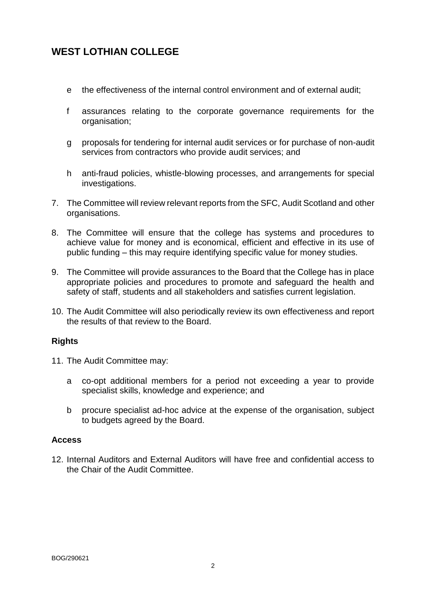- e the effectiveness of the internal control environment and of external audit;
- f assurances relating to the corporate governance requirements for the organisation;
- g proposals for tendering for internal audit services or for purchase of non-audit services from contractors who provide audit services; and
- h anti-fraud policies, whistle-blowing processes, and arrangements for special investigations.
- 7. The Committee will review relevant reports from the SFC, Audit Scotland and other organisations.
- 8. The Committee will ensure that the college has systems and procedures to achieve value for money and is economical, efficient and effective in its use of public funding – this may require identifying specific value for money studies.
- 9. The Committee will provide assurances to the Board that the College has in place appropriate policies and procedures to promote and safeguard the health and safety of staff, students and all stakeholders and satisfies current legislation.
- 10. The Audit Committee will also periodically review its own effectiveness and report the results of that review to the Board.

### **Rights**

- 11. The Audit Committee may:
	- a co-opt additional members for a period not exceeding a year to provide specialist skills, knowledge and experience; and
	- b procure specialist ad-hoc advice at the expense of the organisation, subject to budgets agreed by the Board.

### **Access**

12. Internal Auditors and External Auditors will have free and confidential access to the Chair of the Audit Committee.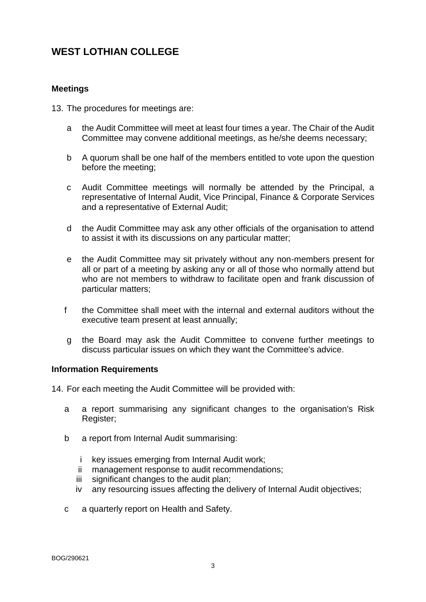### **Meetings**

- 13. The procedures for meetings are:
	- a the Audit Committee will meet at least four times a year. The Chair of the Audit Committee may convene additional meetings, as he/she deems necessary;
	- b A quorum shall be one half of the members entitled to vote upon the question before the meeting;
	- c Audit Committee meetings will normally be attended by the Principal, a representative of Internal Audit, Vice Principal, Finance & Corporate Services and a representative of External Audit;
	- d the Audit Committee may ask any other officials of the organisation to attend to assist it with its discussions on any particular matter;
	- e the Audit Committee may sit privately without any non-members present for all or part of a meeting by asking any or all of those who normally attend but who are not members to withdraw to facilitate open and frank discussion of particular matters;
	- f the Committee shall meet with the internal and external auditors without the executive team present at least annually;
	- g the Board may ask the Audit Committee to convene further meetings to discuss particular issues on which they want the Committee's advice.

#### **Information Requirements**

14. For each meeting the Audit Committee will be provided with:

- a a report summarising any significant changes to the organisation's Risk Register;
- b a report from Internal Audit summarising:
	- i key issues emerging from Internal Audit work;
	- ii management response to audit recommendations;
	- iii significant changes to the audit plan;
	- iv any resourcing issues affecting the delivery of Internal Audit objectives;
- c a quarterly report on Health and Safety.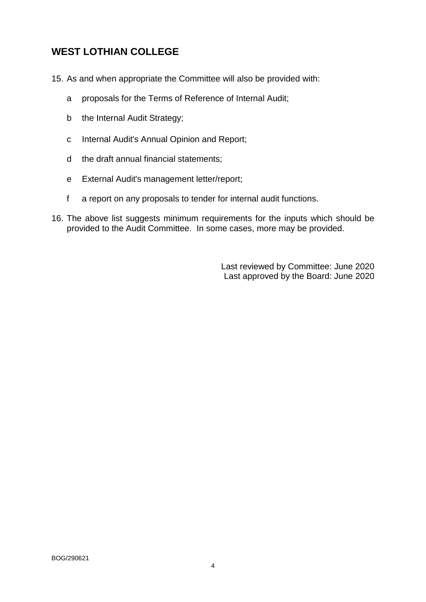- 15. As and when appropriate the Committee will also be provided with:
	- a proposals for the Terms of Reference of Internal Audit;
	- b the Internal Audit Strategy;
	- c Internal Audit's Annual Opinion and Report;
	- d the draft annual financial statements;
	- e External Audit's management letter/report;
	- f a report on any proposals to tender for internal audit functions.
- 16. The above list suggests minimum requirements for the inputs which should be provided to the Audit Committee. In some cases, more may be provided.

Last reviewed by Committee: June 2020 Last approved by the Board: June 2020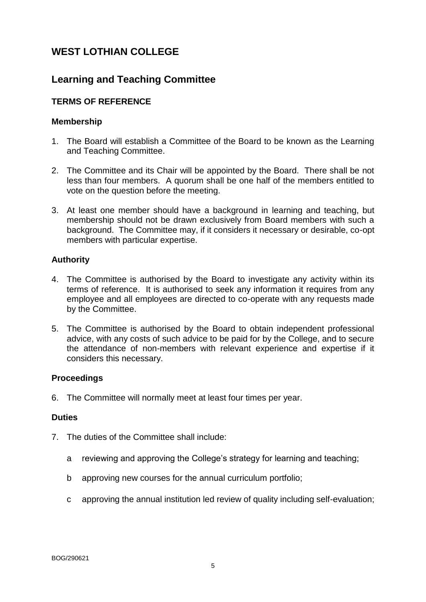## **Learning and Teaching Committee**

### **TERMS OF REFERENCE**

### **Membership**

- 1. The Board will establish a Committee of the Board to be known as the Learning and Teaching Committee.
- 2. The Committee and its Chair will be appointed by the Board. There shall be not less than four members. A quorum shall be one half of the members entitled to vote on the question before the meeting.
- 3. At least one member should have a background in learning and teaching, but membership should not be drawn exclusively from Board members with such a background. The Committee may, if it considers it necessary or desirable, co-opt members with particular expertise.

### **Authority**

- 4. The Committee is authorised by the Board to investigate any activity within its terms of reference. It is authorised to seek any information it requires from any employee and all employees are directed to co-operate with any requests made by the Committee.
- 5. The Committee is authorised by the Board to obtain independent professional advice, with any costs of such advice to be paid for by the College, and to secure the attendance of non-members with relevant experience and expertise if it considers this necessary.

#### **Proceedings**

6. The Committee will normally meet at least four times per year.

#### **Duties**

- 7. The duties of the Committee shall include:
	- a reviewing and approving the College's strategy for learning and teaching;
	- b approving new courses for the annual curriculum portfolio;
	- c approving the annual institution led review of quality including self-evaluation;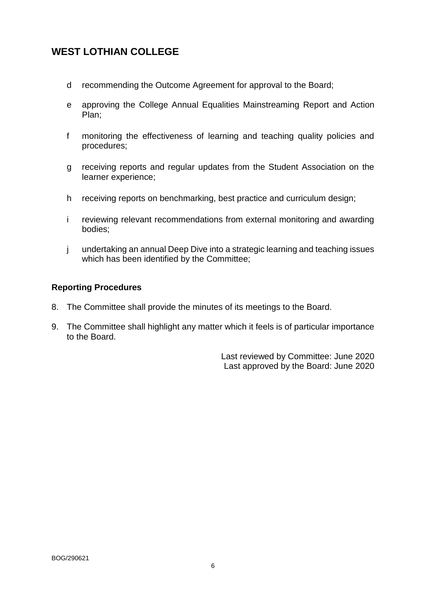- d recommending the Outcome Agreement for approval to the Board;
- e approving the College Annual Equalities Mainstreaming Report and Action Plan;
- f monitoring the effectiveness of learning and teaching quality policies and procedures;
- g receiving reports and regular updates from the Student Association on the learner experience;
- h receiving reports on benchmarking, best practice and curriculum design;
- i reviewing relevant recommendations from external monitoring and awarding bodies;
- j undertaking an annual Deep Dive into a strategic learning and teaching issues which has been identified by the Committee;

### **Reporting Procedures**

- 8. The Committee shall provide the minutes of its meetings to the Board.
- 9. The Committee shall highlight any matter which it feels is of particular importance to the Board.

Last reviewed by Committee: June 2020 Last approved by the Board: June 2020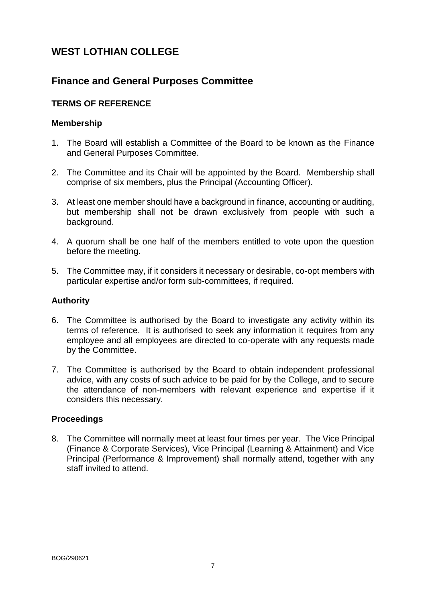## **Finance and General Purposes Committee**

## **TERMS OF REFERENCE**

### **Membership**

- 1. The Board will establish a Committee of the Board to be known as the Finance and General Purposes Committee.
- 2. The Committee and its Chair will be appointed by the Board. Membership shall comprise of six members, plus the Principal (Accounting Officer).
- 3. At least one member should have a background in finance, accounting or auditing, but membership shall not be drawn exclusively from people with such a background.
- 4. A quorum shall be one half of the members entitled to vote upon the question before the meeting.
- 5. The Committee may, if it considers it necessary or desirable, co-opt members with particular expertise and/or form sub-committees, if required.

### **Authority**

- 6. The Committee is authorised by the Board to investigate any activity within its terms of reference. It is authorised to seek any information it requires from any employee and all employees are directed to co-operate with any requests made by the Committee.
- 7. The Committee is authorised by the Board to obtain independent professional advice, with any costs of such advice to be paid for by the College, and to secure the attendance of non-members with relevant experience and expertise if it considers this necessary.

### **Proceedings**

8. The Committee will normally meet at least four times per year. The Vice Principal (Finance & Corporate Services), Vice Principal (Learning & Attainment) and Vice Principal (Performance & Improvement) shall normally attend, together with any staff invited to attend.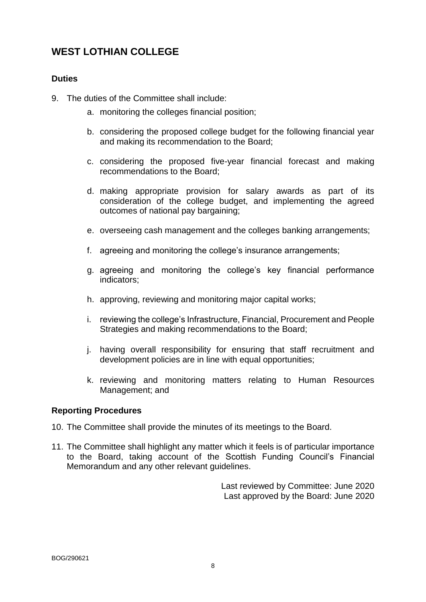### **Duties**

- 9. The duties of the Committee shall include:
	- a. monitoring the colleges financial position;
	- b. considering the proposed college budget for the following financial year and making its recommendation to the Board;
	- c. considering the proposed five-year financial forecast and making recommendations to the Board;
	- d. making appropriate provision for salary awards as part of its consideration of the college budget, and implementing the agreed outcomes of national pay bargaining;
	- e. overseeing cash management and the colleges banking arrangements;
	- f. agreeing and monitoring the college's insurance arrangements;
	- g. agreeing and monitoring the college's key financial performance indicators;
	- h. approving, reviewing and monitoring major capital works;
	- i. reviewing the college's Infrastructure, Financial, Procurement and People Strategies and making recommendations to the Board;
	- j. having overall responsibility for ensuring that staff recruitment and development policies are in line with equal opportunities;
	- k. reviewing and monitoring matters relating to Human Resources Management; and

### **Reporting Procedures**

- 10. The Committee shall provide the minutes of its meetings to the Board.
- 11. The Committee shall highlight any matter which it feels is of particular importance to the Board, taking account of the Scottish Funding Council's Financial Memorandum and any other relevant guidelines.

Last reviewed by Committee: June 2020 Last approved by the Board: June 2020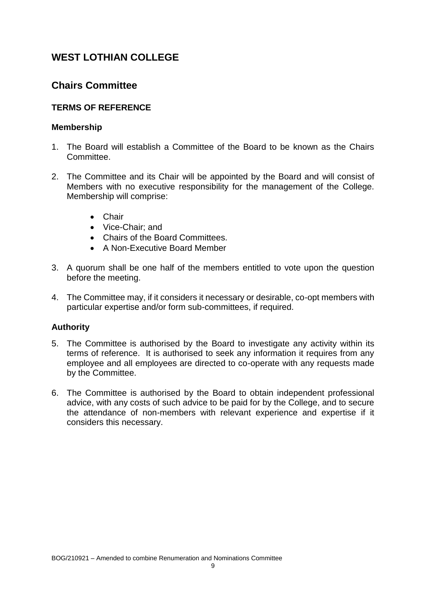## **Chairs Committee**

## **TERMS OF REFERENCE**

### **Membership**

- 1. The Board will establish a Committee of the Board to be known as the Chairs **Committee.**
- 2. The Committee and its Chair will be appointed by the Board and will consist of Members with no executive responsibility for the management of the College. Membership will comprise:
	- Chair
	- Vice-Chair; and
	- Chairs of the Board Committees.
	- A Non-Executive Board Member
- 3. A quorum shall be one half of the members entitled to vote upon the question before the meeting.
- 4. The Committee may, if it considers it necessary or desirable, co-opt members with particular expertise and/or form sub-committees, if required.

### **Authority**

- 5. The Committee is authorised by the Board to investigate any activity within its terms of reference. It is authorised to seek any information it requires from any employee and all employees are directed to co-operate with any requests made by the Committee.
- 6. The Committee is authorised by the Board to obtain independent professional advice, with any costs of such advice to be paid for by the College, and to secure the attendance of non-members with relevant experience and expertise if it considers this necessary.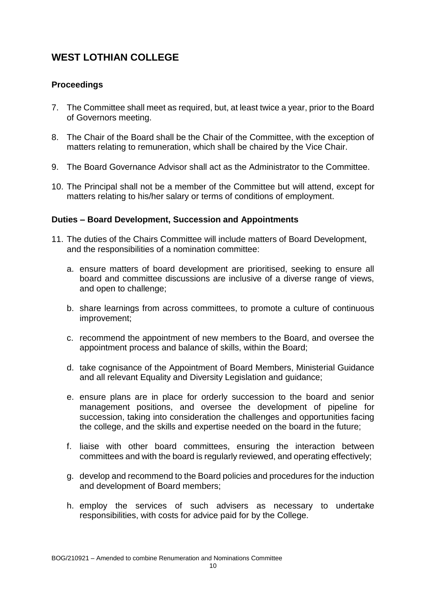## **Proceedings**

- 7. The Committee shall meet as required, but, at least twice a year, prior to the Board of Governors meeting.
- 8. The Chair of the Board shall be the Chair of the Committee, with the exception of matters relating to remuneration, which shall be chaired by the Vice Chair.
- 9. The Board Governance Advisor shall act as the Administrator to the Committee.
- 10. The Principal shall not be a member of the Committee but will attend, except for matters relating to his/her salary or terms of conditions of employment.

### **Duties – Board Development, Succession and Appointments**

- 11. The duties of the Chairs Committee will include matters of Board Development, and the responsibilities of a nomination committee:
	- a. ensure matters of board development are prioritised, seeking to ensure all board and committee discussions are inclusive of a diverse range of views, and open to challenge;
	- b. share learnings from across committees, to promote a culture of continuous improvement;
	- c. recommend the appointment of new members to the Board, and oversee the appointment process and balance of skills, within the Board;
	- d. take cognisance of the Appointment of Board Members, Ministerial Guidance and all relevant Equality and Diversity Legislation and guidance;
	- e. ensure plans are in place for orderly succession to the board and senior management positions, and oversee the development of pipeline for succession, taking into consideration the challenges and opportunities facing the college, and the skills and expertise needed on the board in the future;
	- f. liaise with other board committees, ensuring the interaction between committees and with the board is regularly reviewed, and operating effectively;
	- g. develop and recommend to the Board policies and procedures for the induction and development of Board members;
	- h. employ the services of such advisers as necessary to undertake responsibilities, with costs for advice paid for by the College.